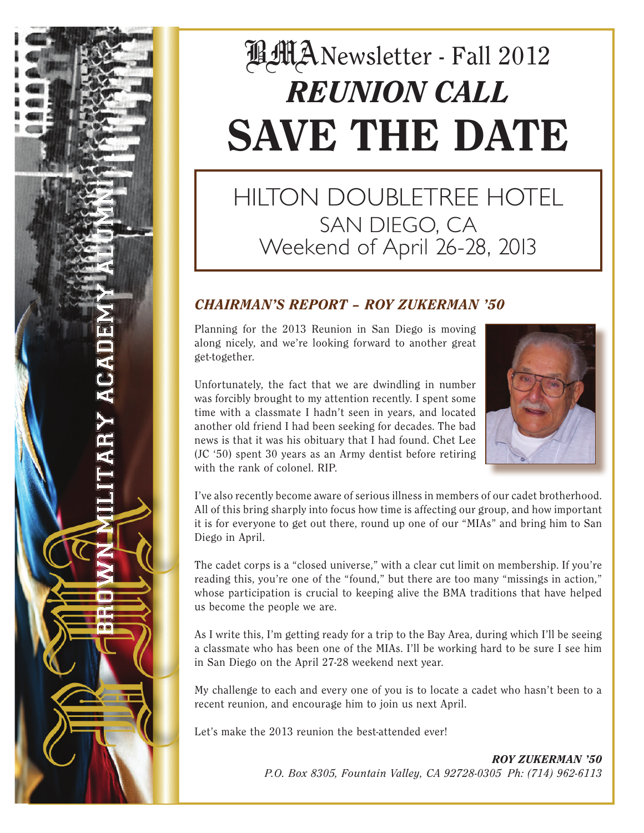# **B**MANewsletter - Fall 2012 *REUNION CALL* SAVE THE DATE

# HILTON DOUBLETREE HOTEL SAN DIEGO, CA Weekend of April 26-28, 2013

### *CHAIRMAN'S REPORT – ROY ZUKERMAN '50*

Planning for the 2013 Reunion in San Diego is moving along nicely, and we're looking forward to another great get-together.

Unfortunately, the fact that we are dwindling in number was forcibly brought to my attention recently. I spent some time with a classmate I hadn't seen in years, and located another old friend I had been seeking for decades. The bad news is that it was his obituary that I had found. Chet Lee (JC '50) spent 30 years as an Army dentist before retiring with the rank of colonel. RIP.

DEY ALE



I've also recently become aware of serious illness in members of our cadet brotherhood. All of this bring sharply into focus how time is affecting our group, and how important it is for everyone to get out there, round up one of our "MIAs" and bring him to San Diego in April.

The cadet corps is a "closed universe," with a clear cut limit on membership. If you're reading this, you're one of the "found," but there are too many "missings in action," whose participation is crucial to keeping alive the BMA traditions that have helped us become the people we are.

As I write this, I'm getting ready for a trip to the Bay Area, during which I'll be seeing a classmate who has been one of the MIAs. I'll be working hard to be sure I see him in San Diego on the April 27-28 weekend next year.

My challenge to each and every one of you is to locate a cadet who hasn't been to a recent reunion, and encourage him to join us next April.

Let's make the 2013 reunion the best-attended ever!

*ROY ZUKERMAN '50 P.O. Box 8305, Fountain Valley, CA 92728-0305 Ph: (714) 962-6113*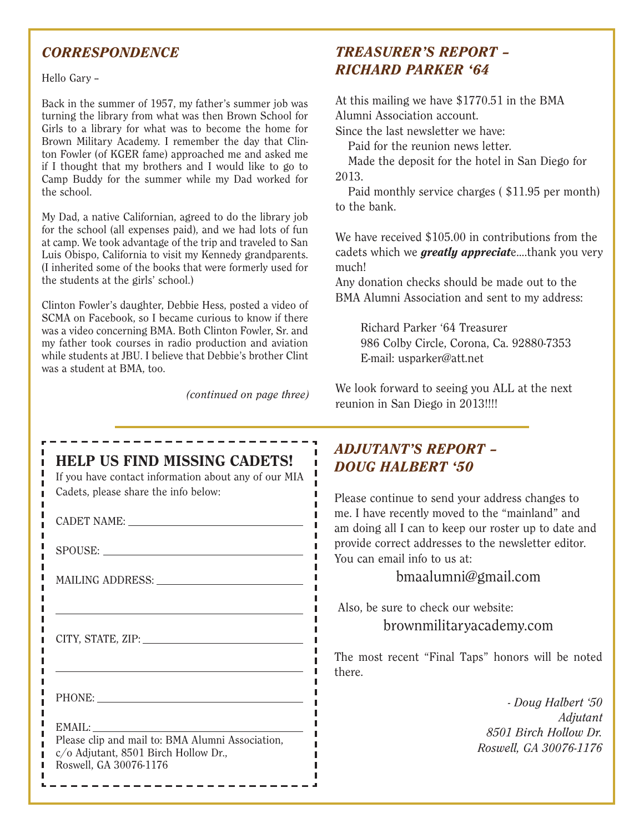### *CORRESPONDENCE*

Hello Garv -

ш п п п ш п п ш п п

п п п П п п

> п П

Back in the summer of 1957, my father's summer job was turning the library from what was then Brown School for Girls to a library for what was to become the home for Brown Military Academy. I remember the day that Clinton Fowler (of KGER fame) approached me and asked me if I thought that my brothers and I would like to go to Camp Buddy for the summer while my Dad worked for the school.

My Dad, a native Californian, agreed to do the library job for the school (all expenses paid), and we had lots of fun at camp. We took advantage of the trip and traveled to San Luis Obispo, California to visit my Kennedy grandparents. (I inherited some of the books that were formerly used for the students at the girls' school.)

Clinton Fowler's daughter, Debbie Hess, posted a video of SCMA on Facebook, so I became curious to know if there was a video concerning BMA. Both Clinton Fowler, Sr. and my father took courses in radio production and aviation while students at JBU. I believe that Debbie's brother Clint was a student at BMA, too.

---------------

*(continued on page three)*

### *TREASURER'S REPORT – RICHARD PARKER '64*

At this mailing we have \$1770.51 in the BMA Alumni Association account.

Since the last newsletter we have:

Paid for the reunion news letter.

Made the deposit for the hotel in San Diego for 2013.

Paid monthly service charges ( \$11.95 per month) to the bank.

We have received \$105.00 in contributions from the cadets which we *greatly appreciat*e....thank you very much!

Any donation checks should be made out to the BMA Alumni Association and sent to my address:

> Richard Parker '64 Treasurer 986 Colby Circle, Corona, Ca. 92880-7353 E-mail: usparker@att.net

We look forward to seeing you ALL at the next reunion in San Diego in 2013!!!!

# HELP US FIND MISSING CADETS! If you have contact information about any of our MIA Cadets, please share the info below: CADET NAME: SPOUSE: MAILING ADDRESS: CITY, STATE, ZIP: PHONE: EMAIL: Please clip and mail to: BMA Alumni Association,

c/o Adjutant, 8501 Birch Hollow Dr., Roswell, GA 30076-1176

------------

### *ADJUTANT'S REPORT – DOUG HALBERT '50*

Please continue to send your address changes to me. I have recently moved to the "mainland" and am doing all I can to keep our roster up to date and provide correct addresses to the newsletter editor. You can email info to us at:

#### bmaalumni@gmail.com

 Also, be sure to check our website: brownmilitaryacademy.com

The most recent "Final Taps" honors will be noted there.

> *- Doug Halbert '50 Adjutant 8501 Birch Hollow Dr. Roswell, GA 30076-1176*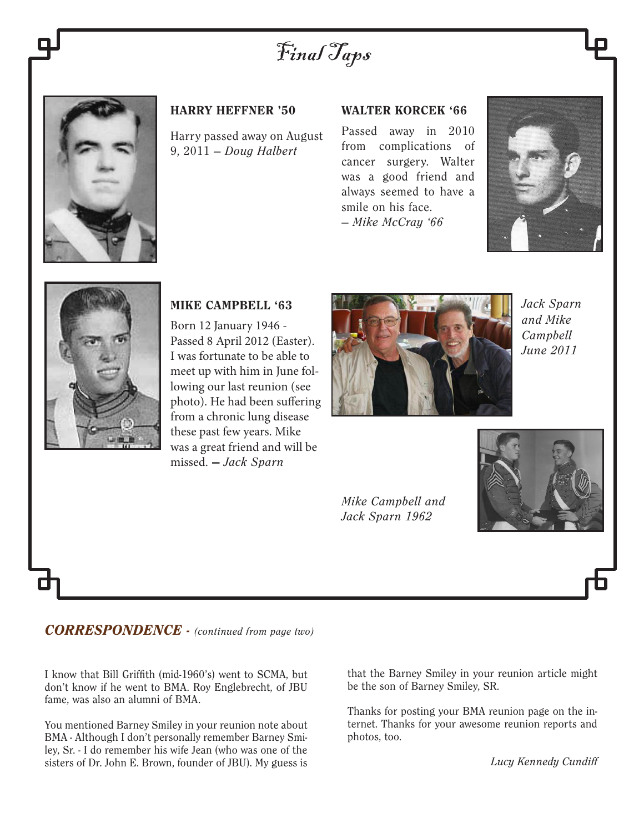Final Taps



#### HARRY HEFFNER '50

Harry passed away on August 9, 2011 — *Doug Halbert*

#### WALTER KORCEK '66

Passed away in 2010 from complications of cancer surgery. Walter was a good friend and always seemed to have a smile on his face. — *Mike McCray '66*





#### MIKE CAMPBELL '63

Born 12 January 1946 - Passed 8 April 2012 (Easter). I was fortunate to be able to meet up with him in June following our last reunion (see photo). He had been suffering from a chronic lung disease these past few years. Mike was a great friend and will be missed. — *Jack Sparn*



*Jack Sparn and Mike Campbell June 2011*

*Mike Campbell and Jack Sparn 1962*



*CORRESPONDENCE - (continued from page two)*

I know that Bill Griffith (mid-1960's) went to SCMA, but don't know if he went to BMA. Roy Englebrecht, of JBU fame, was also an alumni of BMA.

You mentioned Barney Smiley in your reunion note about BMA - Although I don't personally remember Barney Smiley, Sr. - I do remember his wife Jean (who was one of the sisters of Dr. John E. Brown, founder of JBU). My guess is that the Barney Smiley in your reunion article might be the son of Barney Smiley, SR.

Thanks for posting your BMA reunion page on the internet. Thanks for your awesome reunion reports and photos, too.

*Lucy Kennedy Cundiff*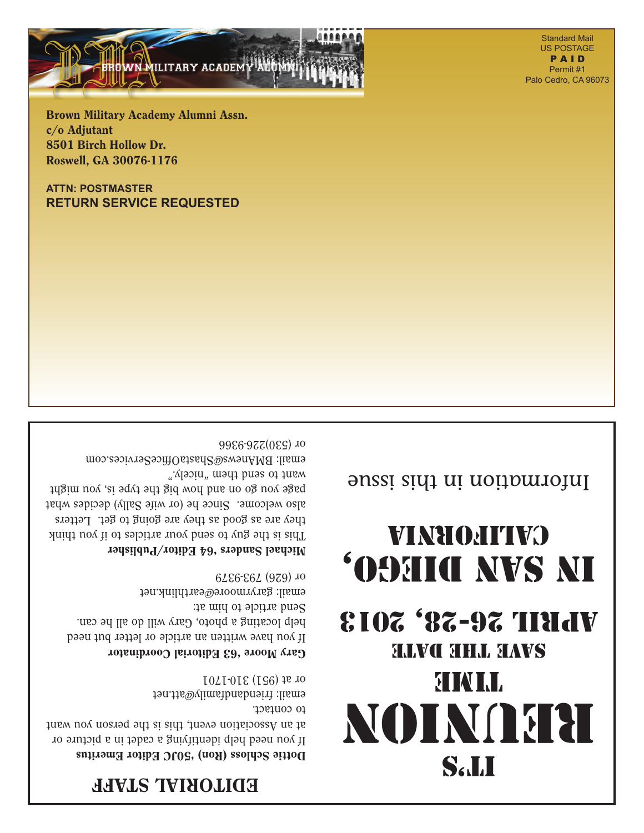## EDITORIAL STAFF

#### Dottie Schloss (Ron) '50JC Editor Emeritus

If you need help identifying a cadet in a picture or at an Association event, this is the person you want to contact. email: friendandfamily@att.net

#### Gary Moore '63 Editorial Coordinator

or at (951) 310-1701

or (530)226-9366

If you have written an article or letter but need help locating a photo, Gary will do all he can. Send article to him at: email: garyrmoore@earthlink.net or (626) 793-9379

#### Michael Sanders '64 Editor/Publisher

email: BMAnews@ShastaOfficeServices.com

This is the guy to send your articles to if you think they are as good as they are going to get. Letters also welcome. Since he (or wife Sally) decides what page you go on and how big the type is, you might want to send them "nicely."

# **Sall** Reunion **STATT.** SLIVC SHLL SLAVS April 26-28, 2013 **OBHIC NVS NI**

 $\overline{\phantom{a}}$  in this included in the international sense is not in the sense in the sense in the sense in the sense is non-

VINHOHITIVO

**ATTN: POSTMASTER RETURN SERVICE REQUESTED**

Brown Military Academy Alumni Assn. c/o Adjutant 8501 Birch Hollow Dr. Roswell, GA 30076-1176